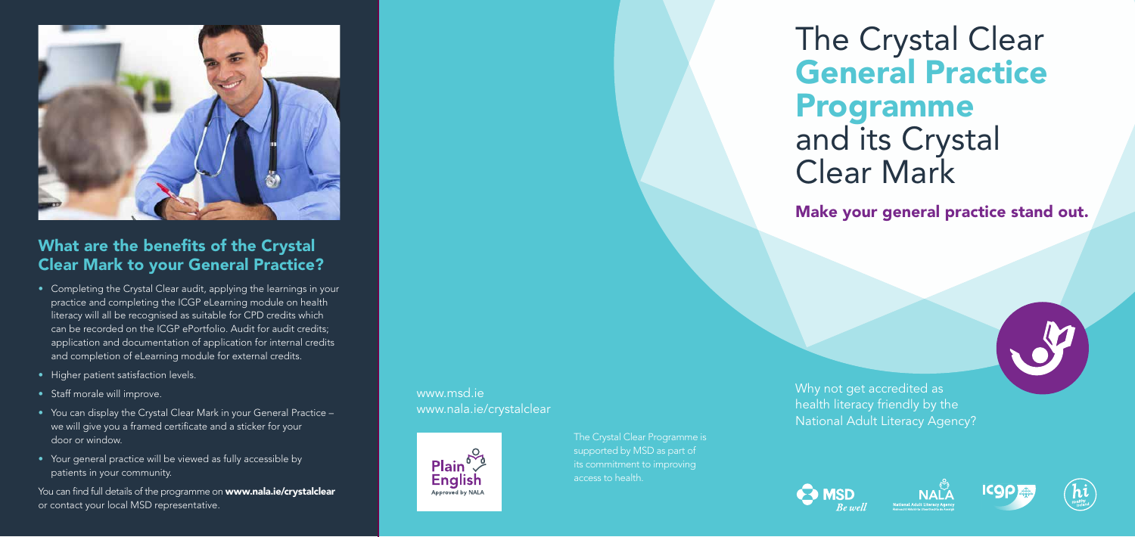# The Crystal Clear General Practice Programme and its Crystal Clear Mark

Make your general practice stand out.

Why not get accredited as health literacy friendly by the National Adult Literacy Agency?











#### What are the benefits of the Crystal Clear Mark to your General Practice?

You can find full details of the programme on www.nala.ie/crystalclear or contact your local MSD representative.

- Completing the Crystal Clear audit, applying the learnings in your practice and completing the ICGP eLearning module on health literacy will all be recognised as suitable for CPD credits which can be recorded on the ICGP ePortfolio. Audit for audit credits; application and documentation of application for internal credits and completion of eLearning module for external credits.
- Higher patient satisfaction levels.
- Staff morale will improve.
- You can display the Crystal Clear Mark in your General Practice we will give you a framed certificate and a sticker for your door or window.
- Your general practice will be viewed as fully accessible by patients in your community.

#### www.msd.ie www.nala.ie/crystalclear



The Crystal Clear Programme is supported by MSD as part of its commitment to improving access to health.